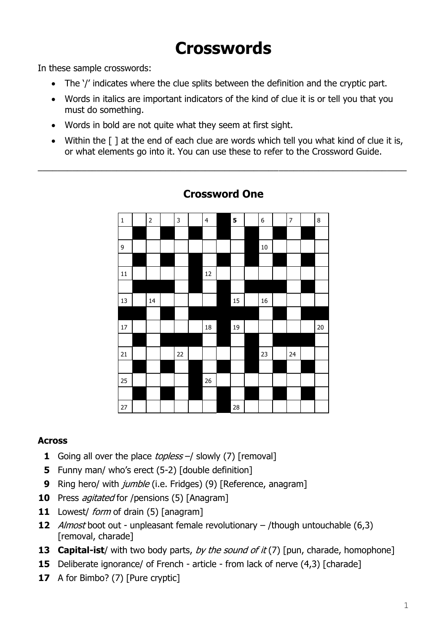# **Crosswords**

In these sample crosswords:

- The '/' indicates where the clue splits between the definition and the cryptic part.
- Words in italics are important indicators of the kind of clue it is or tell you that you must do something.
- Words in bold are not quite what they seem at first sight.
- Within the  $\lceil \cdot \rceil$  at the end of each clue are words which tell you what kind of clue it is, or what elements go into it. You can use these to refer to the Crossword Guide.



### **Crossword One**

\_\_\_\_\_\_\_\_\_\_\_\_\_\_\_\_\_\_\_\_\_\_\_\_\_\_\_\_\_\_\_\_\_\_\_\_\_\_\_\_\_\_\_\_\_\_\_\_\_\_\_\_\_\_\_\_\_\_\_\_\_\_\_\_\_\_\_\_\_\_\_\_\_\_\_

#### **Across**

- **1** Going all over the place *topless* –/ slowly (7) [removal]
- **5** Funny man/ who's erect (5-2) [double definition]
- **9** Ring hero/ with *jumble* (i.e. Fridges) (9) [Reference, anagram]
- **10** Press *agitated* for /pensions (5) [Anagram]
- **11** Lowest/ form of drain (5) [anagram]
- **12** Almost boot out unpleasant female revolutionary /though untouchable (6,3) [removal, charade]
- **13 Capital-ist**/ with two body parts, by the sound of it (7) [pun, charade, homophone]
- **15** Deliberate ignorance/ of French article from lack of nerve (4,3) [charade]
- **17** A for Bimbo? (7) [Pure cryptic]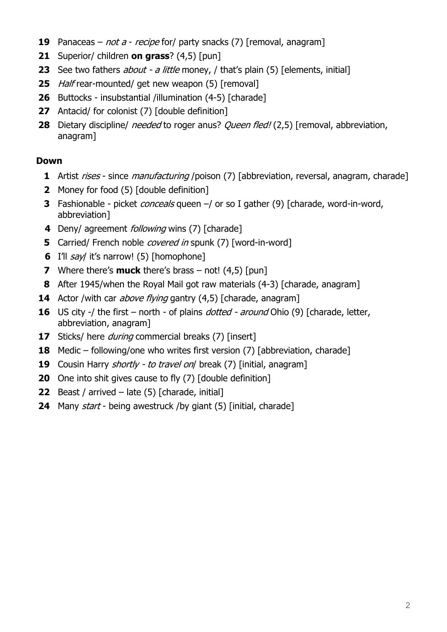- Panaceas not a recipe for/ party snacks (7) [removal, anagram]
- Superior/ children **on grass**? (4,5) [pun]
- See two fathers *about a little* money, / that's plain (5) [elements, initial]
- Half rear-mounted/ get new weapon (5) [removal]
- Buttocks insubstantial /illumination (4-5) [charade]
- Antacid/ for colonist (7) [double definition]
- Dietary discipline/ *needed* to roger anus? *Queen fled!* (2,5) [removal, abbreviation, anagram]

- Artist *rises* since *manufacturing* /poison (7) [abbreviation, reversal, anagram, charade]
- Money for food (5) [double definition]
- Fashionable picket *conceals* queen -/ or so I gather (9) [charade, word-in-word, abbreviation]
- Deny/ agreement *following* wins (7) [charade]
- Carried/ French noble *covered in* spunk (7) [word-in-word]
- I'll *say*/ it's narrow! (5) [homophone]
- Where there's **muck** there's brass not! (4,5) [pun]
- After 1945/when the Royal Mail got raw materials (4-3) [charade, anagram]
- Actor /with car *above flying* gantry (4,5) [charade, anagram]
- US city -/ the first north of plains *dotted around* Ohio (9) [charade, letter, abbreviation, anagram]
- Sticks/ here *during* commercial breaks (7) [insert]
- Medic following/one who writes first version (7) [abbreviation, charade]
- Cousin Harry *shortly to travel on*/ break (7) [initial, anagram]
- One into shit gives cause to fly (7) [double definition]
- Beast / arrived late (5) [charade, initial]
- Many *start* being awestruck /by giant (5) [initial, charade]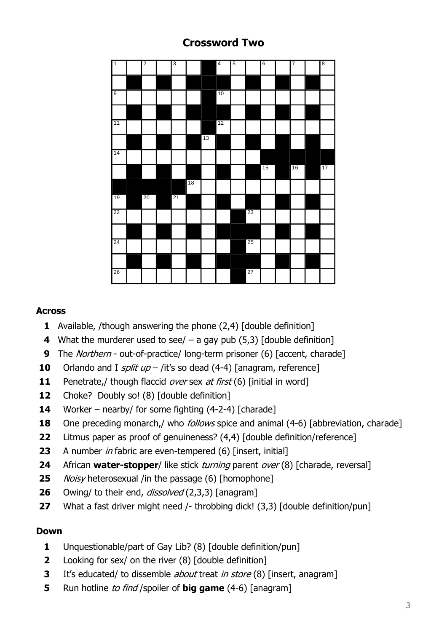# 1 2 3 3 4 5 6 7 7 8 9 10 10 10 12 16 17 20 21 22 1 1 1 1 1 1 23 25 26 1 1 1 1 1 1 27

## **Crossword Two**

#### **Across**

- Available, /though answering the phone (2,4) [double definition]
- What the murderer used to see/ a gay pub (5,3) [double definition]
- The *Northern* out-of-practice/ long-term prisoner (6) [accent, charade]
- Orlando and I *split up* /it's so dead (4-4) [anagram, reference]
- Penetrate,/ though flaccid over sex at first (6) [initial in word]
- Choke? Doubly so! (8) [double definition]
- Worker nearby/ for some fighting (4-2-4) [charade]
- One preceding monarch,/ who *follows* spice and animal (4-6) [abbreviation, charade]
- Litmus paper as proof of genuineness? (4,4) [double definition/reference]
- 23 A number in fabric are even-tempered (6) [insert, initial]
- African **water-stopper**/ like stick turning parent over (8) [charade, reversal]
- Noisy heterosexual /in the passage (6) [homophone]
- Owing/ to their end, *dissolved* (2,3,3) [anagram]
- What a fast driver might need /- throbbing dick! (3,3) [double definition/pun]

- Unquestionable/part of Gay Lib? (8) [double definition/pun]
- Looking for sex/ on the river (8) [double definition]
- It's educated/ to dissemble about treat in store (8) [insert, anagram]
- Run hotline to find / spoiler of **big game** (4-6) [anagram]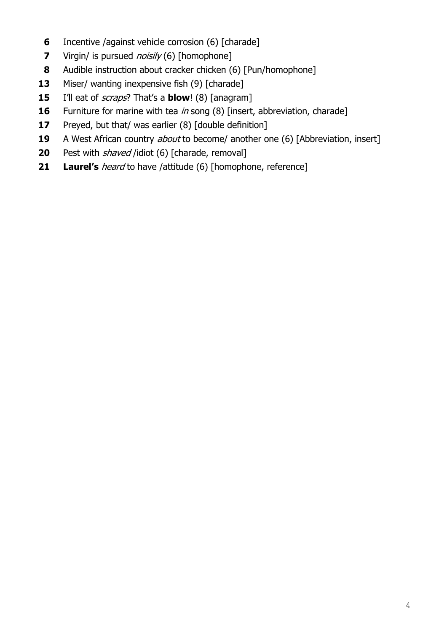- Incentive /against vehicle corrosion (6) [charade]
- Virgin/ is pursued *noisily* (6) [homophone]
- Audible instruction about cracker chicken (6) [Pun/homophone]
- Miser/ wanting inexpensive fish (9) [charade]
- I'll eat of *scraps*? That's a **blow**! (8) [anagram]
- Furniture for marine with tea in song (8) [insert, abbreviation, charade]
- Preyed, but that/ was earlier (8) [double definition]
- A West African country *about* to become/ another one (6) [Abbreviation, insert]
- Pest with *shaved* /idiot (6) [charade, removal]
- **21 Laurel's** *heard* to have /attitude (6) [homophone, reference]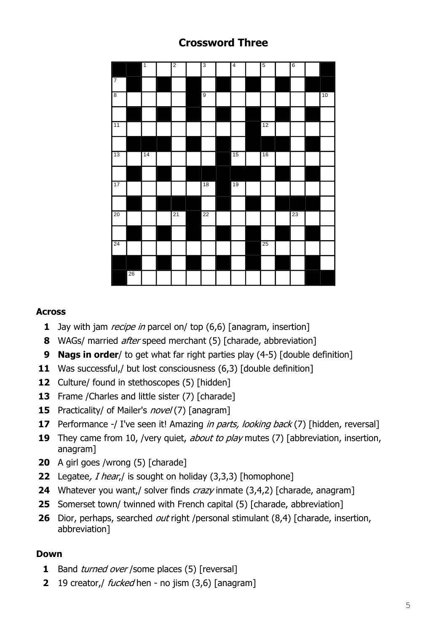# 2 3 4 5 6 9 10 12 14 15 16 18 19 21 22 23 25

# **Crossword Three**

#### **Across**

- Jay with jam *recipe in* parcel on/ top (6,6) [anagram, insertion]
- WAGs/ married after speed merchant (5) [charade, abbreviation]
- **Nags in order**/ to get what far right parties play (4-5) [double definition]
- Was successful,/ but lost consciousness (6,3) [double definition]
- Culture/ found in stethoscopes (5) [hidden]
- Frame / Charles and little sister (7) [charade]
- Practicality/ of Mailer's *novel* (7) [anagram]
- Performance -/ I've seen it! Amazing *in parts, looking back* (7) [hidden, reversal]
- They came from 10, /very quiet, *about to play* mutes (7) [abbreviation, insertion, anagram]
- A girl goes /wrong (5) [charade]
- Legatee, *I hear*,/ is sought on holiday (3,3,3) [homophone]
- Whatever you want,/ solver finds *crazy* inmate (3,4,2) [charade, anagram]
- Somerset town/ twinned with French capital (5) [charade, abbreviation]
- Dior, perhaps, searched *out* right /personal stimulant (8,4) [charade, insertion, abbreviation]

- Band *turned over* /some places (5) [reversal]
- 19 creator,/ fucked hen no jism (3,6) [anagram]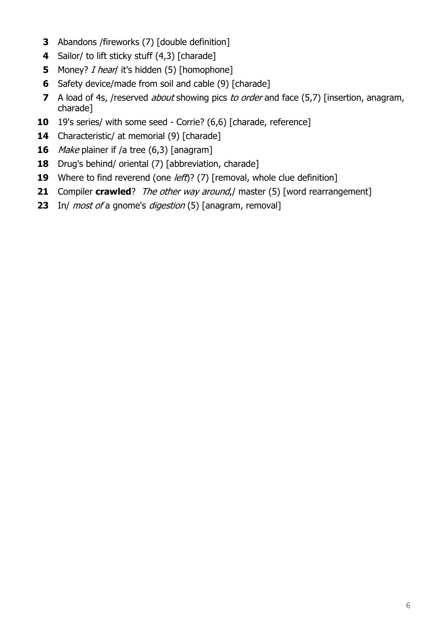- Abandons /fireworks (7) [double definition]
- Sailor/ to lift sticky stuff (4,3) [charade]
- Money? *I hear*/ it's hidden (5) [homophone]
- Safety device/made from soil and cable (9) [charade]
- A load of 4s, /reserved *about* showing pics *to order* and face (5,7) [insertion, anagram, charade]
- 19's series/ with some seed Corrie? (6,6) [charade, reference]
- Characteristic/ at memorial (9) [charade]
- Make plainer if /a tree (6,3) [anagram]
- Drug's behind/ oriental (7) [abbreviation, charade]
- Where to find reverend (one *left*)? (7) [removal, whole clue definition]
- Compiler **crawled**? *The other way around*,/ master (5) [word rearrangement]
- In/ most of a gnome's digestion (5) [anagram, removal]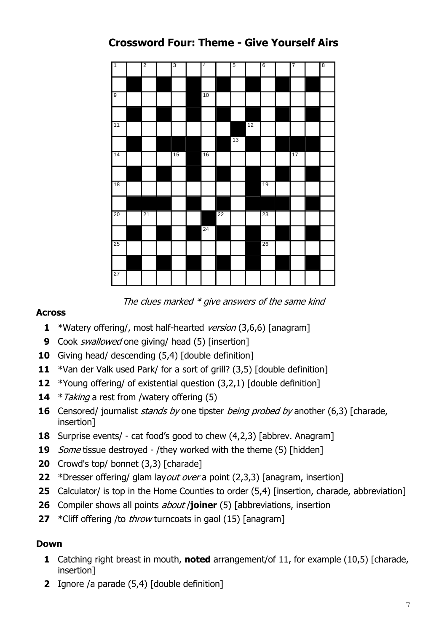# **Crossword Four: Theme - Give Yourself Airs**



The clues marked  $*$  give answers of the same kind

#### **Across**

- \*Watery offering/, most half-hearted version (3,6,6) [anagram]
- Cook swallowed one giving/ head (5) [insertion]
- Giving head/ descending (5,4) [double definition]
- \*Van der Valk used Park/ for a sort of grill? (3,5) [double definition]
- \*Young offering/ of existential question (3,2,1) [double definition]
- \* Taking a rest from /watery offering (5)
- Censored/ journalist *stands by* one tipster *being probed by* another (6,3) [charade, insertion]
- Surprise events/ cat food's good to chew (4,2,3) [abbrev. Anagram]
- Some tissue destroyed /they worked with the theme (5) [hidden]
- Crowd's top/ bonnet (3,3) [charade]
- \*Dresser offering/ glam layout over a point (2,3,3) [anagram, insertion]
- Calculator/ is top in the Home Counties to order (5,4) [insertion, charade, abbreviation]
- Compiler shows all points about /**joiner** (5) [abbreviations, insertion
- \*Cliff offering /to throw turncoats in gaol (15) [anagram]

- Catching right breast in mouth, **noted** arrangement/of 11, for example (10,5) [charade, insertion]
- Ignore /a parade (5,4) [double definition]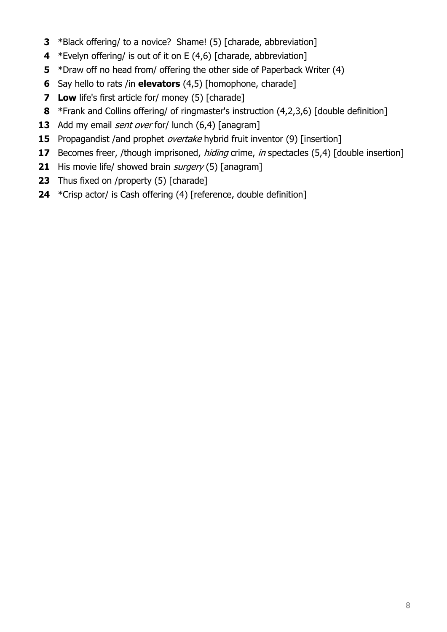- \*Black offering/ to a novice? Shame! (5) [charade, abbreviation]
- \*Evelyn offering/ is out of it on E (4,6) [charade, abbreviation]
- \*Draw off no head from/ offering the other side of Paperback Writer (4)
- Say hello to rats /in **elevators** (4,5) [homophone, charade]
- **Low** life's first article for/ money (5) [charade]
- \*Frank and Collins offering/ of ringmaster's instruction (4,2,3,6) [double definition]
- Add my email *sent over* for/ lunch (6,4) [anagram]
- Propagandist /and prophet *overtake* hybrid fruit inventor (9) [insertion]
- Becomes freer, /though imprisoned, *hiding* crime, *in* spectacles (5,4) [double insertion]
- His movie life/ showed brain *surgery* (5) [anagram]
- Thus fixed on /property (5) [charade]
- \*Crisp actor/ is Cash offering (4) [reference, double definition]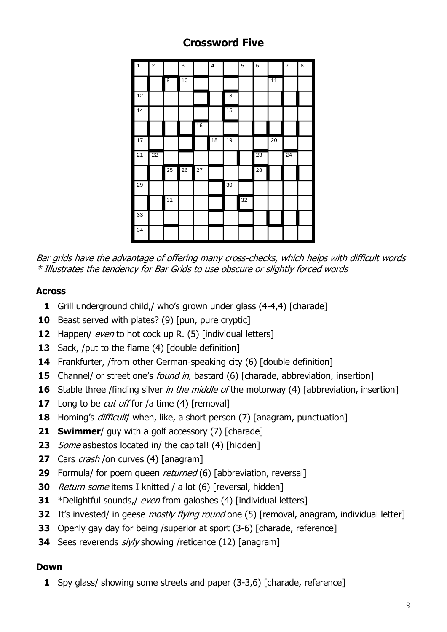# **Crossword Five**

|                            |                                                                                                                                                                                                                                                                                                                                                                                                                                                                        |    | 2  |    | 3  |    | 4  |    | 5  | 6  |    | 7  | 8 |  |
|----------------------------|------------------------------------------------------------------------------------------------------------------------------------------------------------------------------------------------------------------------------------------------------------------------------------------------------------------------------------------------------------------------------------------------------------------------------------------------------------------------|----|----|----|----|----|----|----|----|----|----|----|---|--|
|                            |                                                                                                                                                                                                                                                                                                                                                                                                                                                                        |    |    | 9  | 10 |    |    |    |    |    | 11 |    |   |  |
|                            |                                                                                                                                                                                                                                                                                                                                                                                                                                                                        | 12 |    |    |    |    |    | 13 |    |    |    |    |   |  |
|                            |                                                                                                                                                                                                                                                                                                                                                                                                                                                                        | 14 |    |    |    |    |    | 15 |    |    |    |    |   |  |
|                            |                                                                                                                                                                                                                                                                                                                                                                                                                                                                        |    |    |    |    | 16 |    |    |    |    |    |    |   |  |
|                            |                                                                                                                                                                                                                                                                                                                                                                                                                                                                        | 17 |    |    |    |    | 18 | 19 |    |    | 20 |    |   |  |
|                            |                                                                                                                                                                                                                                                                                                                                                                                                                                                                        | 21 | 22 |    |    |    |    |    |    | 23 |    | 24 |   |  |
|                            |                                                                                                                                                                                                                                                                                                                                                                                                                                                                        |    |    | 25 | 26 | 27 |    |    |    | 28 |    |    |   |  |
|                            |                                                                                                                                                                                                                                                                                                                                                                                                                                                                        | 29 |    |    |    |    |    | 30 |    |    |    |    |   |  |
|                            |                                                                                                                                                                                                                                                                                                                                                                                                                                                                        |    |    | 31 |    |    |    |    | 32 |    |    |    |   |  |
|                            |                                                                                                                                                                                                                                                                                                                                                                                                                                                                        | 33 |    |    |    |    |    |    |    |    |    |    |   |  |
|                            |                                                                                                                                                                                                                                                                                                                                                                                                                                                                        | 34 |    |    |    |    |    |    |    |    |    |    |   |  |
|                            |                                                                                                                                                                                                                                                                                                                                                                                                                                                                        |    |    |    |    |    |    |    |    |    |    |    |   |  |
| 0<br>2<br>3<br>4<br>5<br>6 | Beast served with plates? (9) [pun, pure cryptic]<br>Happen/ even to hot cock up R. (5) [individual letters]<br>Sack, /put to the flame (4) [double definition]<br>Frankfurter, /from other German-speaking city (6) [double definition]<br>Channel/ or street one's <i>found in</i> , bastard (6) [charade, abbreviation, inst<br>Stable three /finding silver in the middle of the motorway (4) [abbreviati<br>7 Long to be <i>cut off</i> for /a time (4) [removal] |    |    |    |    |    |    |    |    |    |    |    |   |  |
| 8                          | Homing's difficult when, like, a short person (7) [anagram, punctuation]                                                                                                                                                                                                                                                                                                                                                                                               |    |    |    |    |    |    |    |    |    |    |    |   |  |
|                            | <b>1 Swimmer</b> / guy with a golf accessory (7) [charade]                                                                                                                                                                                                                                                                                                                                                                                                             |    |    |    |    |    |    |    |    |    |    |    |   |  |
| 3                          | Some asbestos located in/ the capital! (4) [hidden]                                                                                                                                                                                                                                                                                                                                                                                                                    |    |    |    |    |    |    |    |    |    |    |    |   |  |
|                            | <b>7</b> Cars <i>crash</i> /on curves (4) [anagram]                                                                                                                                                                                                                                                                                                                                                                                                                    |    |    |    |    |    |    |    |    |    |    |    |   |  |
| 9                          | Formula/ for poem queen <i>returned</i> (6) [abbreviation, reversal]                                                                                                                                                                                                                                                                                                                                                                                                   |    |    |    |    |    |    |    |    |    |    |    |   |  |
|                            | <b>0</b> Return some items I knitted / a lot (6) [reversal, hidden]                                                                                                                                                                                                                                                                                                                                                                                                    |    |    |    |    |    |    |    |    |    |    |    |   |  |
| $\mathbf{1}$               | *Delightful sounds,/ even from galoshes (4) [individual letters]                                                                                                                                                                                                                                                                                                                                                                                                       |    |    |    |    |    |    |    |    |    |    |    |   |  |
| $\mathbf{2}$               | It's invested/ in geese <i>mostly flying round</i> one (5) [removal, anagram, in                                                                                                                                                                                                                                                                                                                                                                                       |    |    |    |    |    |    |    |    |    |    |    |   |  |
| 3                          | Openly gay day for being / superior at sport (3-6) [charade, reference]                                                                                                                                                                                                                                                                                                                                                                                                |    |    |    |    |    |    |    |    |    |    |    |   |  |
|                            | 4 Sees reverends slyly showing /reticence (12) [anagram]                                                                                                                                                                                                                                                                                                                                                                                                               |    |    |    |    |    |    |    |    |    |    |    |   |  |
|                            |                                                                                                                                                                                                                                                                                                                                                                                                                                                                        |    |    |    |    |    |    |    |    |    |    |    |   |  |
| own                        |                                                                                                                                                                                                                                                                                                                                                                                                                                                                        |    |    |    |    |    |    |    |    |    |    |    |   |  |
|                            | 1 Spy glass/ showing some streets and paper (3-3,6) [charade, reference]                                                                                                                                                                                                                                                                                                                                                                                               |    |    |    |    |    |    |    |    |    |    |    |   |  |

Bar grids have the advantage of offering many cross-checks, which helps with difficult words \* Illustrates the tendency for Bar Grids to use obscure or slightly forced words

#### **Across**

- Grill underground child,/ who's grown under glass (4-4,4) [charade]
- Beast served with plates? (9) [pun, pure cryptic]
- Happen/ even to hot cock up R. (5) [individual letters]
- Sack, /put to the flame (4) [double definition]
- Frankfurter, /from other German-speaking city (6) [double definition]
- Channel/ or street one's *found in*, bastard (6) [charade, abbreviation, insertion]
- Stable three /finding silver *in the middle of* the motorway (4) [abbreviation, insertion]
- Long to be *cut off* for /a time (4) [removal]
- Homing's *difficult* when, like, a short person (7) [anagram, punctuation]
- **Swimmer**/ guy with a golf accessory (7) [charade]
- Some asbestos located in/ the capital! (4) [hidden]
- Cars *crash* /on curves (4) [anagram]
- Formula/ for poem queen returned (6) [abbreviation, reversal]
- Return some items I knitted / a lot (6) [reversal, hidden]
- \*Delightful sounds,/ even from galoshes (4) [individual letters]
- It's invested/ in geese *mostly flying round* one (5) [removal, anagram, individual letter]
- Openly gay day for being /superior at sport (3-6) [charade, reference]
- **34** Sees reverends  $s/y/y$  showing /reticence (12) [anagram]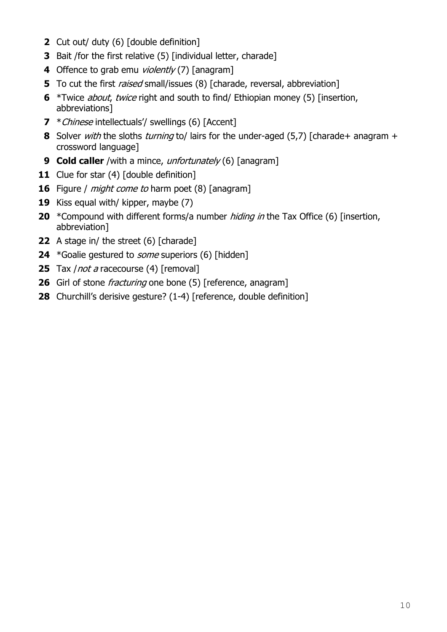- Cut out/ duty (6) [double definition]
- Bait /for the first relative (5) [individual letter, charade]
- Offence to grab emu violently (7) [anagram]
- To cut the first *raised* small/issues (8) [charade, reversal, abbreviation]
- \*Twice about, twice right and south to find/ Ethiopian money (5) [insertion, abbreviations]
- \*Chinese intellectuals'/ swellings (6) [Accent]
- Solver with the sloths turning to/ lairs for the under-aged (5,7) [charade+ anagram + crossword language]
- **Cold caller** /with a mince, unfortunately (6) [anagram]
- 11 Clue for star (4) [double definition]
- Figure / *might come to* harm poet (8) [anagram]
- Kiss equal with/ kipper, maybe (7)
- \*Compound with different forms/a number hiding in the Tax Office (6) [insertion, abbreviation]
- A stage in/ the street (6) [charade]
- \*Goalie gestured to *some* superiors (6) [hidden]
- Tax *| not a* racecourse (4) [removal]
- Girl of stone *fracturing* one bone (5) [reference, anagram]
- Churchill's derisive gesture? (1-4) [reference, double definition]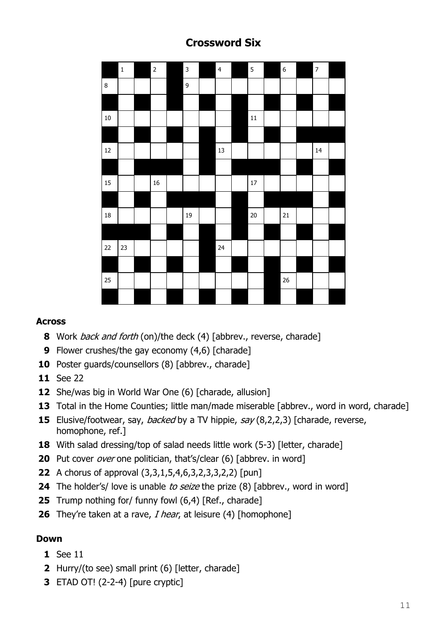## **Crossword Six**

|         | $\mathbf 1$ | $\overline{2}$ | $\overline{\mathbf{3}}$ | $\overline{4}$ | $\overline{5}$ | $6\overline{6}$ | $\overline{7}$ |  |
|---------|-------------|----------------|-------------------------|----------------|----------------|-----------------|----------------|--|
| $\bf 8$ |             |                | $\overline{9}$          |                |                |                 |                |  |
|         |             |                |                         |                |                |                 |                |  |
| $10\,$  |             |                |                         |                | $11\,$         |                 |                |  |
|         |             |                |                         |                |                |                 |                |  |
| $12\,$  |             |                |                         | 13             |                |                 | 14             |  |
|         |             |                |                         |                |                |                 |                |  |
| 15      |             | 16             |                         |                | $17\,$         |                 |                |  |
|         |             |                |                         |                |                |                 |                |  |
| $18\,$  |             |                | 19                      |                | $20\,$         | ${\bf 21}$      |                |  |
|         |             |                |                         |                |                |                 |                |  |
| 22      | 23          |                |                         | 24             |                |                 |                |  |
|         |             |                |                         |                |                |                 |                |  |
| 25      |             |                |                         |                |                | 26              |                |  |
|         |             |                |                         |                |                |                 |                |  |

#### **Across**

- Work back and forth (on)/the deck (4) [abbrev., reverse, charade]
- Flower crushes/the gay economy (4,6) [charade]
- 10 Poster guards/counsellors (8) [abbrev., charade]
- See 22
- She/was big in World War One (6) [charade, allusion]
- Total in the Home Counties; little man/made miserable [abbrev., word in word, charade]
- Elusive/footwear, say, *backed* by a TV hippie, say (8,2,2,3) [charade, reverse, homophone, ref.]
- With salad dressing/top of salad needs little work (5-3) [letter, charade]
- Put cover *over* one politician, that's/clear (6) [abbrev. in word]
- A chorus of approval (3,3,1,5,4,6,3,2,3,3,2,2) [pun]
- The holder's/ love is unable to seize the prize (8) [abbrev., word in word]
- Trump nothing for/ funny fowl (6,4) [Ref., charade]
- They're taken at a rave, *I hear*, at leisure (4) [homophone]

- See 11
- Hurry/(to see) small print (6) [letter, charade]
- ETAD OT! (2-2-4) [pure cryptic]